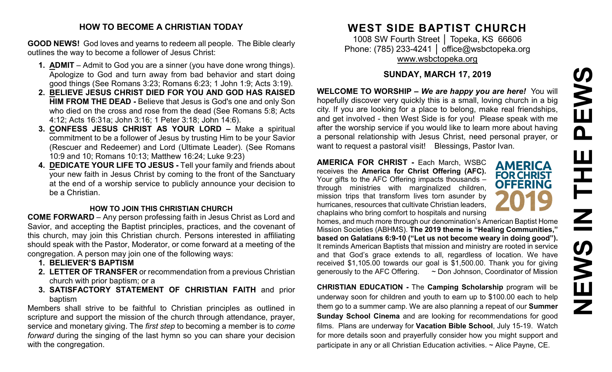# PEWS **NEWS IN THE PEWS**HH Z **SARNE**

### **HOW TO BECOME A CHRISTIAN TODAY**

**GOOD NEWS!** God loves and yearns to redeem all people. The Bible clearly outlines the way to become a follower of Jesus Christ:

- **1. ADMIT** Admit to God you are a sinner (you have done wrong things). Apologize to God and turn away from bad behavior and start doing good things (See Romans 3:23; Romans 6:23; 1 John 1:9; Acts 3:19).
- **2. BELIEVE JESUS CHRIST DIED FOR YOU AND GOD HAS RAISED HIM FROM THE DEAD -** Believe that Jesus is God's one and only Son who died on the cross and rose from the dead (See Romans 5:8; Acts 4:12; Acts 16:31a; John 3:16; 1 Peter 3:18; John 14:6).
- **3. CONFESS JESUS CHRIST AS YOUR LORD –** Make a spiritual commitment to be a follower of Jesus by trusting Him to be your Savior (Rescuer and Redeemer) and Lord (Ultimate Leader). (See Romans 10:9 and 10; Romans 10:13; Matthew 16:24; Luke 9:23)
- **4. DEDICATE YOUR LIFE TO JESUS -** Tell your family and friends about your new faith in Jesus Christ by coming to the front of the Sanctuary at the end of a worship service to publicly announce your decision to be a Christian.

# **HOW TO JOIN THIS CHRISTIAN CHURCH**

**COME FORWARD** – Any person professing faith in Jesus Christ as Lord and Savior, and accepting the Baptist principles, practices, and the covenant of this church, may join this Christian church. Persons interested in affiliating should speak with the Pastor, Moderator, or come forward at a meeting of the congregation. A person may join one of the following ways:

- **1. BELIEVER'S BAPTISM**
- **2. LETTER OF TRANSFER** or recommendation from a previous Christian church with prior baptism; or a
- **3. SATISFACTORY STATEMENT OF CHRISTIAN FAITH** and prior baptism

Members shall strive to be faithful to Christian principles as outlined in scripture and support the mission of the church through attendance, prayer, service and monetary giving. The *first step* to becoming a member is to *come forward* during the singing of the last hymn so you can share your decision with the congregation.

# **WEST SIDE BAPTIST CHURCH**

1008 SW Fourth Street | Topeka, KS 66606 Phone: (785) 233-4241 │ [office@wsbctopeka.org](mailto:office@wsbctopeka.org) [www.wsbctopeka.org](http://www.wsbctopeka.org/)

# **SUNDAY, MARCH 17, 2019**

**WELCOME TO WORSHIP –** *We are happy you are here!* You will hopefully discover very quickly this is a small, loving church in a big city. If you are looking for a place to belong, make real friendships, and get involved - then West Side is for you! Please speak with me after the worship service if you would like to learn more about having a personal relationship with Jesus Christ, need personal prayer, or want to request a pastoral visit! Blessings, Pastor Ivan.

**AMERICA FOR CHRIST -** Each March, WSBC receives the **America for Christ Offering (AFC).** Your gifts to the AFC Offering impacts thousands – through ministries with marginalized children, mission trips that transform lives torn asunder by hurricanes, resources that cultivate Christian leaders, chaplains who bring comfort to hospitals and nursing

**AMERICA FOR CHRIST OFFERING** 

homes, and much more through our denomination's American Baptist Home Mission Societies (ABHMS). **The 2019 theme is "Healing Communities," based on Galatians 6:9-10 ("Let us not become weary in doing good").** It reminds American Baptists that mission and ministry are rooted in service and that God's grace extends to all, regardless of location. We have received \$1,105.00 towards our goal is \$1,500.00. Thank you for giving generously to the AFC Offering. ~ Don Johnson, Coordinator of Mission

**CHRISTIAN EDUCATION -** The **Camping Scholarship** program will be underway soon for children and youth to earn up to \$100.00 each to help them go to a summer camp. We are also planning a repeat of our **Summer Sunday School Cinema** and are looking for recommendations for good films. Plans are underway for **Vacation Bible School**, July 15-19. Watch for more details soon and prayerfully consider how you might support and participate in any or all Christian Education activities. ~ Alice Payne, CE.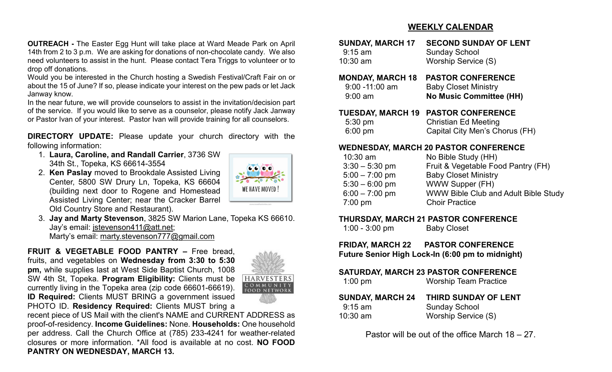### **WEEKLY CALENDAR**

**OUTREACH -** The Easter Egg Hunt will take place at Ward Meade Park on April 14th from 2 to 3 p.m. We are asking for donations of non-chocolate candy. We also need volunteers to assist in the hunt. Please contact Tera Triggs to volunteer or to drop off donations.

Would you be interested in the Church hosting a Swedish Festival/Craft Fair on or about the 15 of June? If so, please indicate your interest on the pew pads or let Jack Janway know.

In the near future, we will provide counselors to assist in the invitation/decision part of the service. If you would like to serve as a counselor, please notify Jack Janway or Pastor Ivan of your interest. Pastor Ivan will provide training for all counselors.

**DIRECTORY UPDATE:** Please update your church directory with the following information:

- 1. **Laura, Caroline, and Randall Carrier**, 3736 SW 34th St., Topeka, KS 66614-3554
- 2. **Ken Paslay** moved to Brookdale Assisted Living Center, 5800 SW Drury Ln, Topeka, KS 66604 (building next door to Rogene and Homestead Assisted Living Center; near the Cracker Barrel Old Country Store and Restaurant).

3. **Jay and Marty Stevenson**, 3825 SW Marion Lane, Topeka KS 66610. Jay's email: [jstevenson411@att.net;](mailto:jstevenson411@att.net) Marty's email: [marty.stevenson777@gmail.com](mailto:marty.stevenson777@gmail.com)

**FRUIT & VEGETABLE FOOD PANTRY –** Free bread, fruits, and vegetables on **Wednesday from 3:30 to 5:30 pm,** while supplies last at West Side Baptist Church, 1008 SW 4th St, Topeka. **Program Eligibility:** Clients must be currently living in the Topeka area (zip code 66601-66619). **ID Required:** Clients MUST BRING a government issued PHOTO ID. **Residency Required:** Clients MUST bring a



WE HAVE MOVED

recent piece of US Mail with the client's NAME and CURRENT ADDRESS as proof-of-residency. **Income Guidelines:** None. **Households:** One household per address. Call the Church Office at (785) 233-4241 for weather-related closures or more information. \*All food is available at no cost. **NO FOOD PANTRY ON WEDNESDAY, MARCH 13.**

| JUNUAI, MARUI II         | SLUUND SUNDAT OL LENT          |
|--------------------------|--------------------------------|
| $9:15$ am                | <b>Sunday School</b>           |
| 10:30 am                 | Worship Service (S)            |
| <b>MONDAY, MARCH 18</b>  | <b>PASTOR CONFERENCE</b>       |
| 9:00 - 11:00 am          | <b>Baby Closet Ministry</b>    |
| $9:00$ am                | <b>No Music Committee (HH)</b> |
| <b>TUESDAY, MARCH 19</b> | <b>PASTOR CONFERENCE</b>       |
| 5:30 pm                  | <b>Christian Ed Meeting</b>    |
| $6:00$ pm                | Capital City Men's Chorus (FH) |

**SUNDAY, MARCH 17 SECOND SUNDAY OF LENT**

### **WEDNESDAY, MARCH 20 PASTOR CONFERENCE**

| $10:30$ am       | No Bible Study (HH)                         |
|------------------|---------------------------------------------|
| $3:30 - 5:30$ pm | Fruit & Vegetable Food Pantry (FH)          |
| $5:00 - 7:00$ pm | <b>Baby Closet Ministry</b>                 |
| $5:30 - 6:00$ pm | <b>WWW Supper (FH)</b>                      |
| $6:00 - 7:00$ pm | <b>WWW Bible Club and Adult Bible Study</b> |
| $7:00$ pm        | <b>Choir Practice</b>                       |
|                  |                                             |

### **THURSDAY, MARCH 21 PASTOR CONFERENCE**

1:00 - 3:00 pm Baby Closet

**FRIDAY, MARCH 22 PASTOR CONFERENCE**

**Future Senior High Lock-In (6:00 pm to midnight)**

### **SATURDAY, MARCH 23 PASTOR CONFERENCE**

| <b>SUNDAY, MARCH 24</b> | THIRD SUNDAY OF LENT |
|-------------------------|----------------------|
| $9:15$ am               | <b>Sunday School</b> |
| $10:30$ am              | Worship Service (S)  |

Pastor will be out of the office March 18 – 27.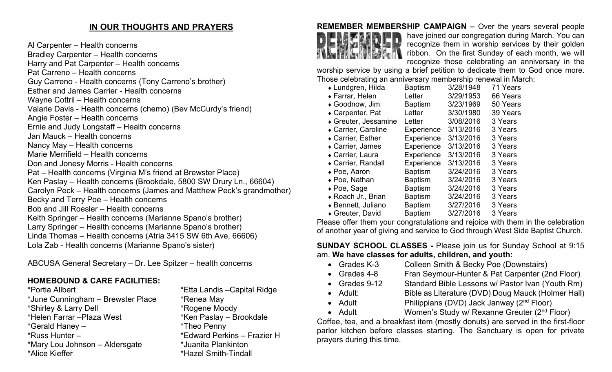# **IN OUR THOUGHTS AND PRAYERS**

Al Carpenter – Health concerns Bradley Carpenter – Health concerns Harry and Pat Carpenter – Health concerns Pat Carreno – Health concerns Guy Carreno - Health concerns (Tony Carreno's brother) Esther and James Carrier - Health concerns Wayne Cottril – Health concerns Valarie Davis - Health concerns (chemo) (Bev McCurdy's friend) Angie Foster – Health concerns Ernie and Judy Longstaff – Health concerns Jan Mauck – Health concerns Nancy May – Health concerns Marie Merrifield – Health concerns Don and Jonesy Morris - Health concerns Pat – Health concerns (Virginia M's friend at Brewster Place) Ken Paslay – Health concerns (Brookdale, 5800 SW Drury Ln., 66604) Carolyn Peck – Health concerns (James and Matthew Peck's grandmother) Becky and Terry Poe – Health concerns Bob and Jill Roesler – Health concerns Keith Springer – Health concerns (Marianne Spano's brother) Larry Springer – Health concerns (Marianne Spano's brother) Linda Thomas – Health concerns (Atria 3415 SW 6th Ave, 66606) Lola Zab - Health concerns (Marianne Spano's sister)

ABCUSA General Secretary – Dr. Lee Spitzer – health concerns

# **HOMEBOUND & CARE FACILITIES:**

\*Portia Allbert \*Etta Landis –Capital Ridge \*June Cunningham – Brewster Place \* \* Renea May \*Shirley & Larry Dell \*Rogene Moody \*Gerald Haney – \*Theo Penny \*Russ Hunter – \*Edward Perkins – Frazier H \*Mary Lou Johnson – Aldersgate \*Juanita Plankinton \*Alice Kieffer \*Hazel Smith-Tindall

\*Ken Paslay – Brookdale

# **REMEMBER MEMBERSHIP CAMPAIGN –** Over the years several people



have joined our congregation during March. You can recognize them in worship services by their golden ribbon. On the first Sunday of each month, we will recognize those celebrating an anniversary in the

worship service by using a brief petition to dedicate them to God once more. Those celebrating an anniversary membership renewal in March:

| ◆ Lundgren, Hilda    | <b>Baptism</b> | 3/28/1948 | 71 Years |
|----------------------|----------------|-----------|----------|
| ◆ Farrar, Helen      | Letter         | 3/29/1953 | 66 Years |
| ◆ Goodnow, Jim       | <b>Baptism</b> | 3/23/1969 | 50 Years |
| ◆ Carpenter, Pat     | Letter         | 3/30/1980 | 39 Years |
| ◆ Greuter, Jessamine | Letter         | 3/08/2016 | 3 Years  |
| ◆ Carrier, Caroline  | Experience     | 3/13/2016 | 3 Years  |
| ◆ Carrier, Esther    | Experience     | 3/13/2016 | 3 Years  |
| • Carrier, James     | Experience     | 3/13/2016 | 3 Years  |
| ◆ Carrier, Laura     | Experience     | 3/13/2016 | 3 Years  |
| ◆ Carrier, Randall   | Experience     | 3/13/2016 | 3 Years  |
| $\bullet$ Poe, Aaron | <b>Baptism</b> | 3/24/2016 | 3 Years  |
| ◆ Poe, Nathan        | <b>Baptism</b> | 3/24/2016 | 3 Years  |
| $\bullet$ Poe, Sage  | <b>Baptism</b> | 3/24/2016 | 3 Years  |
| ◆ Roach Jr., Brian   | <b>Baptism</b> | 3/24/2016 | 3 Years  |
| ◆ Bennett, Juliano   | <b>Baptism</b> | 3/27/2016 | 3 Years  |
| ◆ Greuter, David     | <b>Baptism</b> | 3/27/2016 | 3 Years  |

Please offer them your congratulations and rejoice with them in the celebration of another year of giving and service to God through West Side Baptist Church.

# **SUNDAY SCHOOL CLASSES -** Please join us for Sunday School at 9:15 am. **We have classes for adults, children, and youth:**

- Grades K-3 Colleen Smith & Becky Poe (Downstairs)
- Grades 4-8 Fran Seymour-Hunter & Pat Carpenter (2nd Floor)
- Grades 9-12 Standard Bible Lessons w/ Pastor Ivan (Youth Rm)
- Adult: Bible as Literature (DVD) Doug Mauck (Holmer Hall)
- Adult Philippians (DVD) Jack Janway (2<sup>nd</sup> Floor)
- Adult Women's Study w/ Rexanne Greuter (2<sup>nd</sup> Floor)

Coffee, tea, and a breakfast item (mostly donuts) are served in the first-floor parlor kitchen before classes starting. The Sanctuary is open for private prayers during this time.